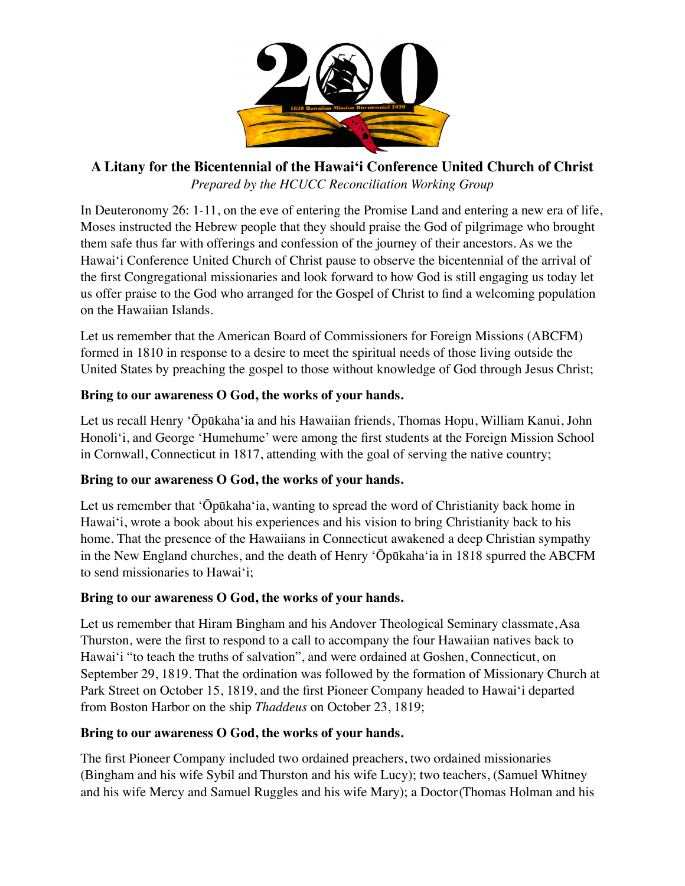

# **A Litany for the Bicentennial of the Hawaiʻi Conference United Church of Christ** *Prepared by the HCUCC Reconciliation Working Group*

In Deuteronomy 26: 1-11, on the eve of entering the Promise Land and entering a new era of life, Moses instructed the Hebrew people that they should praise the God of pilgrimage who brought them safe thus far with offerings and confession of the journey of their ancestors. As we the Hawai'i Conference United Church of Christ pause to observe the bicentennial of the arrival of the first Congregational missionaries and look forward to how God is still engaging us today let us offer praise to the God who arranged for the Gospel of Christ to find a welcoming population on the Hawaiian Islands.

Let us remember that the American Board of Commissioners for Foreign Missions (ABCFM) formed in 1810 in response to a desire to meet the spiritual needs of those living outside the United States by preaching the gospel to those without knowledge of God through Jesus Christ;

## **Bring to our awareness O God, the works of your hands.**

Let us recall Henry ʻŌpūkahaʻia and his Hawaiian friends, Thomas Hopu, William Kanui, John Honoli'i, and George 'Humehume' were among the first students at the Foreign Mission School in Cornwall, Connecticut in 1817, attending with the goal of serving the native country;

#### **Bring to our awareness O God, the works of your hands.**

Let us remember that ʻŌpūkahaʻia, wanting to spread the word of Christianity back home in Hawaiʻi, wrote a book about his experiences and his vision to bring Christianity back to his home. That the presence of the Hawaiians in Connecticut awakened a deep Christian sympathy in the New England churches, and the death of Henry ʻŌpūkahaʻia in 1818 spurred the ABCFM to send missionaries to Hawai'i;

#### **Bring to our awareness O God, the works of your hands.**

Let us remember that Hiram Bingham and his Andover Theological Seminary classmate, Asa Thurston, were the first to respond to a call to accompany the four Hawaiian natives back to Hawai'i "to teach the truths of salvation", and were ordained at Goshen, Connecticut, on September 29, 1819. That the ordination was followed by the formation of Missionary Church at Park Street on October 15, 1819, and the first Pioneer Company headed to Hawai'i departed from Boston Harbor on the ship *Thaddeus* on October 23, 1819;

#### **Bring to our awareness O God, the works of your hands.**

The first Pioneer Company included two ordained preachers, two ordained missionaries (Bingham and his wife Sybil and Thurston and his wife Lucy); two teachers, (Samuel Whitney and his wife Mercy and Samuel Ruggles and his wife Mary); a Doctor (Thomas Holman and his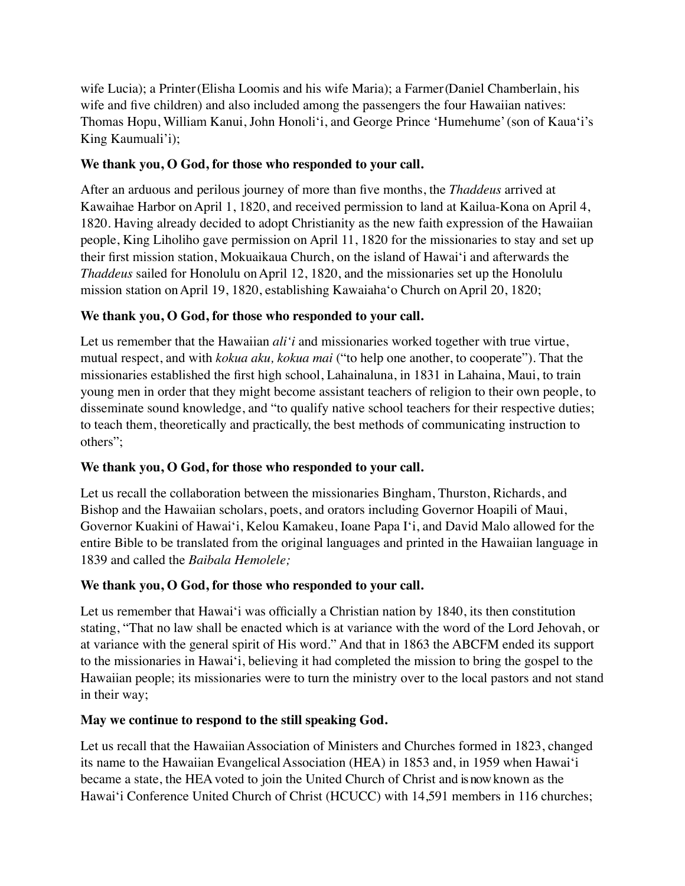wife Lucia); a Printer (Elisha Loomis and his wife Maria); a Farmer (Daniel Chamberlain, his wife and five children) and also included among the passengers the four Hawaiian natives: Thomas Hopu, William Kanui, John Honoliʻi, and George Prince 'Humehume'(son of Kaua'i's King Kaumuali'i);

### **We thank you, O God, for those who responded to your call.**

After an arduous and perilous journey of more than five months, the *Thaddeus* arrived at Kawaihae Harbor onApril 1, 1820, and received permission to land at Kailua-Kona on April 4, 1820. Having already decided to adopt Christianity as the new faith expression of the Hawaiian people, King Liholiho gave permission on April 11, 1820 for the missionaries to stay and set up their first mission station, Mokuaikaua Church, on the island of Hawai'i and afterwards the *Thaddeus* sailed for Honolulu on April 12, 1820, and the missionaries set up the Honolulu mission station onApril 19, 1820, establishing Kawaiahaʻo Church onApril 20, 1820;

## **We thank you, O God, for those who responded to your call.**

Let us remember that the Hawaiian *ali'i* and missionaries worked together with true virtue, mutual respect, and with *kokua aku, kokua mai* ("to help one another, to cooperate"). That the missionaries established the first high school, Lahainaluna, in 1831 in Lahaina, Maui, to train young men in order that they might become assistant teachers of religion to their own people, to disseminate sound knowledge, and "to qualify native school teachers for their respective duties; to teach them, theoretically and practically, the best methods of communicating instruction to others";

#### **We thank you, O God, for those who responded to your call.**

Let us recall the collaboration between the missionaries Bingham, Thurston, Richards, and Bishop and the Hawaiian scholars, poets, and orators including Governor Hoapili of Maui, Governor Kuakini of Hawai'i, Kelou Kamakeu, Ioane Papa I'i, and David Malo allowed for the entire Bible to be translated from the original languages and printed in the Hawaiian language in 1839 and called the *Baibala Hemolele;*

#### **We thank you, O God, for those who responded to your call.**

Let us remember that Hawai'i was officially a Christian nation by 1840, its then constitution stating, "That no law shall be enacted which is at variance with the word of the Lord Jehovah, or at variance with the general spirit of His word." And that in 1863 the ABCFM ended its support to the missionaries in Hawai'i, believing it had completed the mission to bring the gospel to the Hawaiian people; its missionaries were to turn the ministry over to the local pastors and not stand in their way;

#### **May we continue to respond to the still speaking God.**

Let us recall that the Hawaiian Association of Ministers and Churches formed in 1823, changed its name to the Hawaiian Evangelical Association (HEA) in 1853 and, in 1959 when Hawai'i became a state, the HEAvoted to join the United Church of Christ and is now known as the Hawai'i Conference United Church of Christ (HCUCC) with 14,591 members in 116 churches;